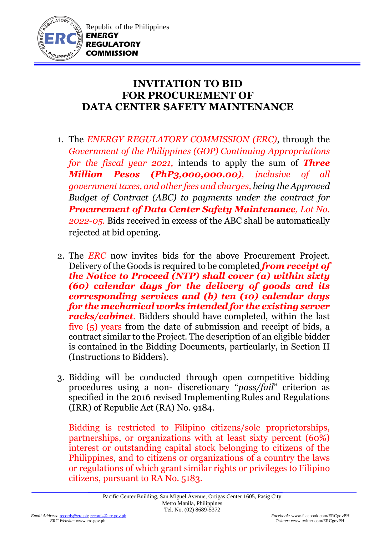

## **INVITATION TO BID FOR PROCUREMENT OF DATA CENTER SAFETY MAINTENANCE**

- 1. The *ENERGY REGULATORY COMMISSION (ERC)*, through the *Government of the Philippines (GOP) Continuing Appropriations for the fiscal year 2021,* intends to apply the sum of *Three Million Pesos (PhP3,000,000.00), inclusive of all government taxes, and other fees and charges, being the Approved Budget of Contract (ABC) to payments under the contract for Procurement of Data Center Safety Maintenance, Lot No. 2022-05.* Bids received in excess of the ABC shall be automatically rejected at bid opening.
- 2. The *ERC* now invites bids for the above Procurement Project. Delivery of the Goods is required to be completed *from receipt of the Notice to Proceed (NTP) shall cover (a) within sixty (60) calendar days for the delivery of goods and its corresponding services and (b) ten (10) calendar days for the mechanical works intended for the existing server racks/cabinet.* Bidders should have completed, within the last five (5) years from the date of submission and receipt of bids, a contract similar to the Project. The description of an eligible bidder is contained in the Bidding Documents, particularly, in Section II (Instructions to Bidders).
- 3. Bidding will be conducted through open competitive bidding procedures using a non- discretionary "*pass/fail*" criterion as specified in the 2016 revised Implementing Rules and Regulations (IRR) of Republic Act (RA) No. 9184.

Bidding is restricted to Filipino citizens/sole proprietorships, partnerships, or organizations with at least sixty percent (60%) interest or outstanding capital stock belonging to citizens of the Philippines, and to citizens or organizations of a country the laws or regulations of which grant similar rights or privileges to Filipino citizens, pursuant to RA No. 5183.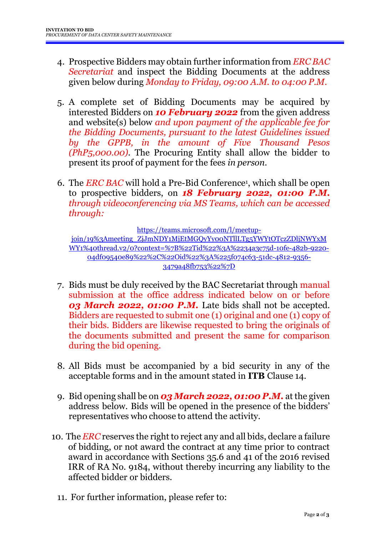- 4. Prospective Bidders may obtain further information from *ERC BAC Secretariat* and inspect the Bidding Documents at the address given below during *Monday to Friday, 09:00 A.M. to 04:00 P.M*.
- 5. A complete set of Bidding Documents may be acquired by interested Bidders on *10 February 2022* from the given address and website(s) below *and upon payment of the applicable fee for the Bidding Documents, pursuant to the latest Guidelines issued by the GPPB, in the amount of Five Thousand Pesos (PhP5,000.00)*. The Procuring Entity shall allow the bidder to present its proof of payment for the fees *in person.*
- 6. The *ERC BAC* will hold a Pre-Bid Conference<sup>1</sup> , which shall be open to prospective bidders, on *18 February 2022, 01:00 P.M. through videoconferencing via MS Teams, which can be accessed through:*

[https://teams.microsoft.com/l/meetup-](https://teams.microsoft.com/l/meetup-join/19%3Ameeting_ZjJmNDY1MjEtMGQyYy00NTllLTg5YWYtOTczZDljNWYxMWY1%40thread.v2/0?context=%7B%22Tid%22%3A%2234a3c75d-10fe-482b-9220-04df09540e89%22%2C%22Oid%22%3A%225f074c63-51dc-4812-9356-3479a48fb753%22%7D)

[join/19%3Ameeting\\_ZjJmNDY1MjEtMGQyYy00NTllLTg5YWYtOTczZDljNWYxM](https://teams.microsoft.com/l/meetup-join/19%3Ameeting_ZjJmNDY1MjEtMGQyYy00NTllLTg5YWYtOTczZDljNWYxMWY1%40thread.v2/0?context=%7B%22Tid%22%3A%2234a3c75d-10fe-482b-9220-04df09540e89%22%2C%22Oid%22%3A%225f074c63-51dc-4812-9356-3479a48fb753%22%7D) [WY1%40thread.v2/0?context=%7B%22Tid%22%3A%2234a3c75d-10fe-482b-9220-](https://teams.microsoft.com/l/meetup-join/19%3Ameeting_ZjJmNDY1MjEtMGQyYy00NTllLTg5YWYtOTczZDljNWYxMWY1%40thread.v2/0?context=%7B%22Tid%22%3A%2234a3c75d-10fe-482b-9220-04df09540e89%22%2C%22Oid%22%3A%225f074c63-51dc-4812-9356-3479a48fb753%22%7D) [04df09540e89%22%2C%22Oid%22%3A%225f074c63-51dc-4812-9356-](https://teams.microsoft.com/l/meetup-join/19%3Ameeting_ZjJmNDY1MjEtMGQyYy00NTllLTg5YWYtOTczZDljNWYxMWY1%40thread.v2/0?context=%7B%22Tid%22%3A%2234a3c75d-10fe-482b-9220-04df09540e89%22%2C%22Oid%22%3A%225f074c63-51dc-4812-9356-3479a48fb753%22%7D) [3479a48fb753%22%7D](https://teams.microsoft.com/l/meetup-join/19%3Ameeting_ZjJmNDY1MjEtMGQyYy00NTllLTg5YWYtOTczZDljNWYxMWY1%40thread.v2/0?context=%7B%22Tid%22%3A%2234a3c75d-10fe-482b-9220-04df09540e89%22%2C%22Oid%22%3A%225f074c63-51dc-4812-9356-3479a48fb753%22%7D)

- 7. Bids must be duly received by the BAC Secretariat through manual submission at the office address indicated below on or before *03 March 2022, 01:00 P.M.* Late bids shall not be accepted. Bidders are requested to submit one (1) original and one (1) copy of their bids. Bidders are likewise requested to bring the originals of the documents submitted and present the same for comparison during the bid opening.
- 8. All Bids must be accompanied by a bid security in any of the acceptable forms and in the amount stated in **ITB** Clause 14.
- 9. Bid opening shall be on *03 March 2022, 01:00 P.M.* at the given address below. Bids will be opened in the presence of the bidders' representatives who choose to attend the activity.
- 10. The *ERC* reserves the right to reject any and all bids, declare a failure of bidding, or not award the contract at any time prior to contract award in accordance with Sections 35.6 and 41 of the 2016 revised IRR of RA No. 9184, without thereby incurring any liability to the affected bidder or bidders.
	- 11. For further information, please refer to: